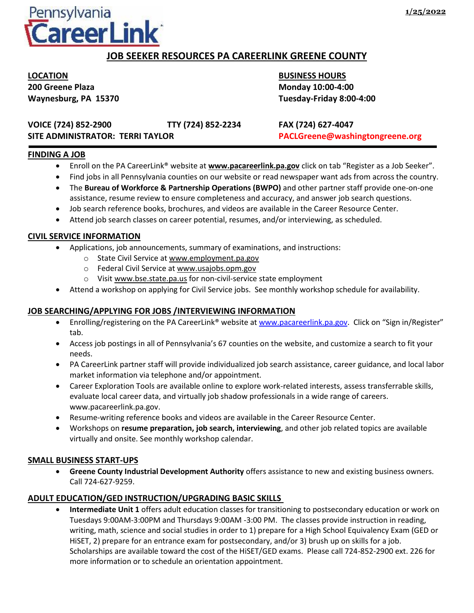

# **JOB SEEKER RESOURCES PA CAREERLINK GREENE COUNTY**

**LOCATION BUSINESS HOURS 200 Greene Plaza Monday 10:00-4:00**

**Waynesburg, PA 15370 Tuesday-Friday 8:00-4:00**

**VOICE (724) 852-2900 TTY (724) 852-2234 FAX (724) 627-4047 SITE ADMINISTRATOR: TERRI TAYLOR PACLGreene@washingtongreene.org**

## **FINDING A JOB**

- Enroll on the PA CareerLink<sup>®</sup> website at **www.pacareerlink.pa.gov** click on tab "Register as a Job Seeker".
- Find jobs in all Pennsylvania counties on our website or read newspaper want ads from across the country.
- The **Bureau of Workforce & Partnership Operations (BWPO)** and other partner staff provide one-on-one assistance, resume review to ensure completeness and accuracy, and answer job search questions.
- Job search reference books, brochures, and videos are available in the Career Resource Center.
- Attend job search classes on career potential, resumes, and/or interviewing, as scheduled.

### **CIVIL SERVICE INFORMATION**

- Applications, job announcements, summary of examinations, and instructions:
	- o State Civil Service at www.employment.pa.gov
	- o Federal Civil Service at www.usajobs.opm.gov
	- o Visit www.bse.state.pa.us for non-civil-service state employment
- Attend a workshop on applying for Civil Service jobs. See monthly workshop schedule for availability.

## **JOB SEARCHING/APPLYING FOR JOBS /INTERVIEWING INFORMATION**

- Enrolling/registering on the PA CareerLink® website at [www.pacareerlink.pa.gov](http://www.pacareerlink.pa.gov/). Click on "Sign in/Register" tab.
- Access job postings in all of Pennsylvania's 67 counties on the website, and customize a search to fit your needs.
- PA CareerLink partner staff will provide individualized job search assistance, career guidance, and local labor market information via telephone and/or appointment.
- Career Exploration Tools are available online to explore work-related interests, assess transferrable skills, evaluate local career data, and virtually job shadow professionals in a wide range of careers. www.pacareerlink.pa.gov.
- Resume-writing reference books and videos are available in the Career Resource Center.
- Workshops on **resume preparation, job search, interviewing**, and other job related topics are available virtually and onsite. See monthly workshop calendar.

#### **SMALL BUSINESS START-UPS**

• **Greene County Industrial Development Authority** offers assistance to new and existing business owners. Call 724-627-9259.

## **ADULT EDUCATION/GED INSTRUCTION/UPGRADING BASIC SKILLS**

• **Intermediate Unit 1** offers adult education classes for transitioning to postsecondary education or work on Tuesdays 9:00AM-3:00PM and Thursdays 9:00AM -3:00 PM. The classes provide instruction in reading, writing, math, science and social studies in order to 1) prepare for a High School Equivalency Exam (GED or HiSET, 2) prepare for an entrance exam for postsecondary, and/or 3) brush up on skills for a job. Scholarships are available toward the cost of the HiSET/GED exams. Please call 724-852-2900 ext. 226 for more information or to schedule an orientation appointment.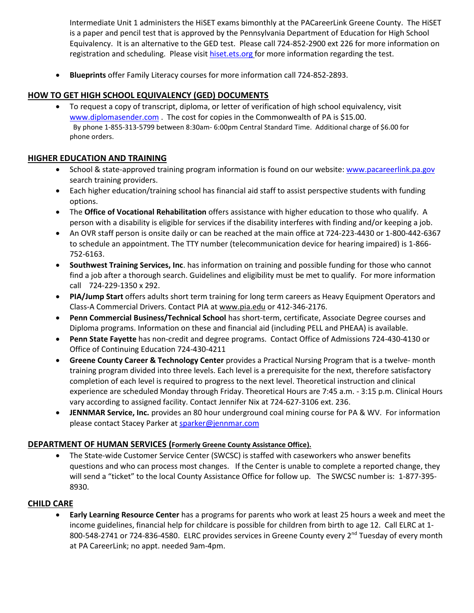Intermediate Unit 1 administers the HiSET exams bimonthly at the PACareerLink Greene County. The HiSET is a paper and pencil test that is approved by the Pennsylvania Department of Education for High School Equivalency. It is an alternative to the GED test. Please call 724-852-2900 ext 226 for more information on registration and scheduling. Please visit [hiset.ets.org](file:///C:/Users/rachel.zilcosky/AppData/Local/Microsoft/Windows/Temporary%20Internet%20Files/Content.Outlook/TOJMWHN1/hiset.ets.org) for more information regarding the test.

• **Blueprints** offer Family Literacy courses for more information call 724-852-2893.

## **HOW TO GET HIGH SCHOOL EQUIVALENCY (GED) DOCUMENTS**

• To request a copy of transcript, diploma, or letter of verification of high school equivalency, visit [www.diplomasender.com](http://www.diplomasender.com/) . The cost for copies in the Commonwealth of PA is \$15.00. By phone 1-855-313-5799 between 8:30am- 6:00pm Central Standard Time. Additional charge of \$6.00 for phone orders.

## **HIGHER EDUCATION AND TRAINING**

- School & state-approved training program information is found on our website[: www.pacareerlink.pa.gov](http://www.pacareerlink.pa.gov/) search training providers.
- Each higher education/training school has financial aid staff to assist perspective students with funding options.
- The **Office of Vocational Rehabilitation** offers assistance with higher education to those who qualify. A person with a disability is eligible for services if the disability interferes with finding and/or keeping a job.
- An OVR staff person is onsite daily or can be reached at the main office at 724-223-4430 or 1-800-442-6367 to schedule an appointment. The TTY number (telecommunication device for hearing impaired) is 1-866- 752-6163.
- **Southwest Training Services, Inc**. has information on training and possible funding for those who cannot find a job after a thorough search. Guidelines and eligibility must be met to qualify. For more information call 724-229-1350 x 292.
- **PIA/Jump Start** offers adults short term training for long term careers as Heavy Equipment Operators and Class-A Commercial Drivers. Contact PIA at www.pia.edu or 412-346-2176.
- **Penn Commercial Business/Technical School** has short-term, certificate, Associate Degree courses and Diploma programs. Information on these and financial aid (including PELL and PHEAA) is available.
- **Penn State Fayette** has non-credit and degree programs. Contact Office of Admissions 724-430-4130 or Office of Continuing Education 724-430-4211
- **Greene County Career & Technology Center** provides a Practical Nursing Program that is a twelve- month training program divided into three levels. Each level is a prerequisite for the next, therefore satisfactory completion of each level is required to progress to the next level. Theoretical instruction and clinical experience are scheduled Monday through Friday. Theoretical Hours are 7:45 a.m. - 3:15 p.m. Clinical Hours vary according to assigned facility. Contact Jennifer Nix at 724-627-3106 ext. 236.
- **JENNMAR Service, Inc.** provides an 80 hour underground coal mining course for PA & WV. For information please contact Stacey Parker at [sparker@jennmar.com](mailto:sparker@jennmar.com)

## **DEPARTMENT OF HUMAN SERVICES (Formerly Greene County Assistance Office).**

• The State-wide Customer Service Center (SWCSC) is staffed with caseworkers who answer benefits questions and who can process most changes. If the Center is unable to complete a reported change, they will send a "ticket" to the local County Assistance Office for follow up. The SWCSC number is: 1-877-395- 8930.

## **CHILD CARE**

• **Early Learning Resource Center** has a programs for parents who work at least 25 hours a week and meet the income guidelines, financial help for childcare is possible for children from birth to age 12. Call ELRC at 1- 800-548-2741 or 724-836-4580. ELRC provides services in Greene County every  $2^{nd}$  Tuesday of every month at PA CareerLink; no appt. needed 9am-4pm.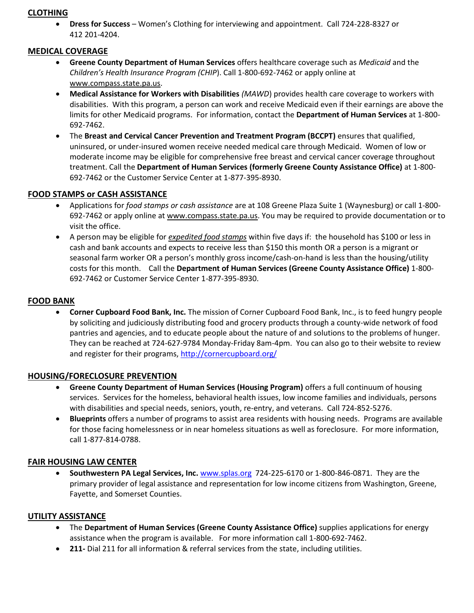### **CLOTHING**

• **Dress for Success** – Women's Clothing for interviewing and appointment. Call 724-228-8327 or 412 201-4204.

## **MEDICAL COVERAGE**

- **Greene County Department of Human Services** offers healthcare coverage such as *Medicaid* and the *Children's Health Insurance Program (CHIP*). Call 1-800-692-7462 or apply online at [www.compass.state.pa.us.](http://www.compass.state.pa.us/)
- **Medical Assistance for Workers with Disabilities** *(MAWD*) provides health care coverage to workers with disabilities. With this program, a person can work and receive Medicaid even if their earnings are above the limits for other Medicaid programs. For information, contact the **Department of Human Services** at 1-800- 692-7462.
- The **Breast and Cervical Cancer Prevention and Treatment Program (BCCPT)** ensures that qualified, uninsured, or under-insured women receive needed medical care through Medicaid. Women of low or moderate income may be eligible for comprehensive free breast and cervical cancer coverage throughout treatment. Call the **Department of Human Services (formerly Greene County Assistance Office)** at 1-800- 692-7462 or the Customer Service Center at 1-877-395-8930.

#### **FOOD STAMPS or CASH ASSISTANCE**

- Applications for *food stamps or cash assistance* are at 108 Greene Plaza Suite 1 (Waynesburg) or call 1-800 692-7462 or apply online a[t www.compass.state.pa.us.](http://www.compass.state.pa.us/) You may be required to provide documentation or to visit the office.
- A person may be eligible for *expedited food stamps* within five days if: the household has \$100 or less in cash and bank accounts and expects to receive less than \$150 this month OR a person is a migrant or seasonal farm worker OR a person's monthly gross income/cash-on-hand is less than the housing/utility costs for this month. Call the **Department of Human Services (Greene County Assistance Office)** 1-800- 692-7462 or Customer Service Center 1-877-395-8930.

#### **FOOD BANK**

• **Corner Cupboard Food Bank, Inc.** The mission of Corner Cupboard Food Bank, Inc., is to feed hungry people by soliciting and judiciously distributing food and grocery products through a county-wide network of food pantries and agencies, and to educate people about the nature of and solutions to the problems of hunger. They can be reached at 724-627-9784 Monday-Friday 8am-4pm. You can also go to their website to review and register for their programs,<http://cornercupboard.org/>

#### **HOUSING/FORECLOSURE PREVENTION**

- **Greene County Department of Human Services (Housing Program)** offers a full continuum of housing services. Services for the homeless, behavioral health issues, low income families and individuals, persons with disabilities and special needs, seniors, youth, re-entry, and veterans. Call 724-852-5276.
- **Blueprints** offers a number of programs to assist area residents with housing needs. Programs are available for those facing homelessness or in near homeless situations as well as foreclosure. For more information, call 1-877-814-0788.

#### **FAIR HOUSING LAW CENTER**

• **Southwestern PA Legal Services, Inc.** [www.splas.org](http://www.splas.org/) 724-225-6170 or 1-800-846-0871. They are the primary provider of legal assistance and representation for low income citizens from Washington, Greene, Fayette, and Somerset Counties.

#### **UTILITY ASSISTANCE**

- The **Department of Human Services (Greene County Assistance Office)** supplies applications for energy assistance when the program is available. For more information call 1-800-692-7462.
- **211-** Dial 211 for all information & referral services from the state, including utilities.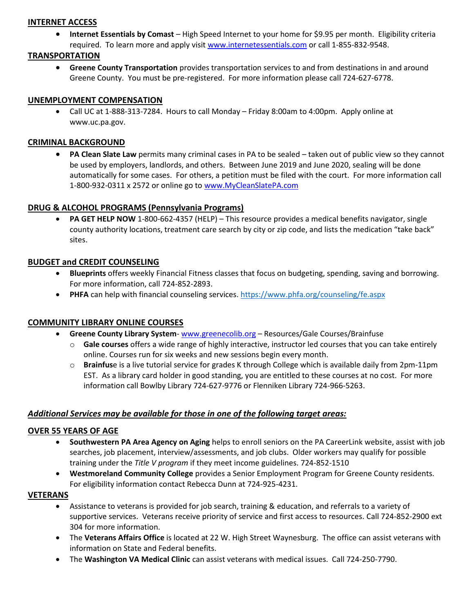### **INTERNET ACCESS**

• **Internet Essentials by Comast** *–* High Speed Internet to your home for \$9.95 per month. Eligibility criteria required. To learn more and apply visit [www.internetessentials.com](http://www.internetessentials.com/) or call 1-855-832-9548.

## **TRANSPORTATION**

• **Greene County Transportation** provides transportation services to and from destinations in and around Greene County. You must be pre-registered. For more information please call 724-627-6778.

#### **UNEMPLOYMENT COMPENSATION**

• Call UC at 1-888-313-7284. Hours to call Monday – Friday 8:00am to 4:00pm. Apply online at www.uc.pa.gov.

### **CRIMINAL BACKGROUND**

• **PA Clean Slate Law** permits many criminal cases in PA to be sealed – taken out of public view so they cannot be used by employers, landlords, and others. Between June 2019 and June 2020, sealing will be done automatically for some cases. For others, a petition must be filed with the court. For more information call 1-800-932-0311 x 2572 or online go to [www.MyCleanSlatePA.com](http://www.mycleanslatepa.com/)

## **DRUG & ALCOHOL PROGRAMS (Pennsylvania Programs)**

• **PA GET HELP NOW** 1-800-662-4357 (HELP) – This resource provides a medical benefits navigator, single county authority locations, treatment care search by city or zip code, and lists the medication "take back" sites.

#### **BUDGET and CREDIT COUNSELING**

- **Blueprints** offers weekly Financial Fitness classes that focus on budgeting, spending, saving and borrowing. For more information, call 724-852-2893.
- **PHFA** can help with financial counseling services.<https://www.phfa.org/counseling/fe.aspx>

## **COMMUNITY LIBRARY ONLINE COURSES**

- **Greene County Library System** [www.greenecolib.org](http://www.greenecolib.org/) Resources/Gale Courses/Brainfuse
	- o **Gale courses** offers a wide range of highly interactive, instructor led courses that you can take entirely online. Courses run for six weeks and new sessions begin every month.
	- o **Brainfus**e is a live tutorial service for grades K through College which is available daily from 2pm-11pm EST. As a library card holder in good standing, you are entitled to these courses at no cost. For more information call Bowlby Library 724-627-9776 or Flenniken Library 724-966-5263.

#### *Additional Services may be available for those in one of the following target areas:*

#### **OVER 55 YEARS OF AGE**

- **Southwestern PA Area Agency on Aging** helps to enroll seniors on the PA CareerLink website, assist with job searches, job placement, interview/assessments, and job clubs. Older workers may qualify for possible training under the *Title V program* if they meet income guidelines. 724-852-1510
- **Westmoreland Community College** provides a Senior Employment Program for Greene County residents. For eligibility information contact Rebecca Dunn at 724-925-4231.

#### **VETERANS**

- Assistance to veterans is provided for job search, training & education, and referrals to a variety of supportive services. Veterans receive priority of service and first access to resources. Call 724-852-2900 ext 304 for more information.
- The **Veterans Affairs Office** is located at 22 W. High Street Waynesburg. The office can assist veterans with information on State and Federal benefits.
- The **Washington VA Medical Clinic** can assist veterans with medical issues. Call 724-250-7790.